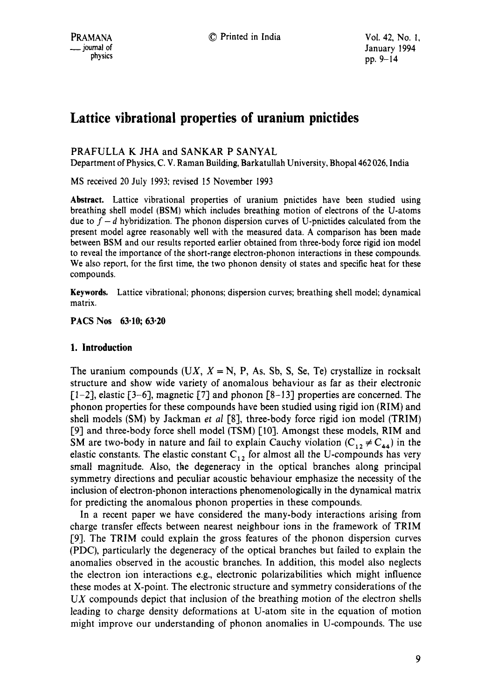# **Lattice vibrational properties of uranium pnictides**

## PRAFULLA K JHA and SANKAR P SANYAL

Department of Physics, C. V. Raman Building, Barkatullah University, Bhopa1462 026, India

MS received 20 July 1993: revised 15 November 1993

**Abstract.** Lattice vibrational properties of uranium pnictides have been studied using breathing shell model (BSM) which includes breathing motion of electrons of the U-atoms due to  $f - d$  hybridization. The phonon dispersion curves of U-pnictides calculated from the present model agree reasonably well with the measured data. A comparison has been made between BSM and our results reported earlier obtained from three-body force rigid ion model to reveal the importance of the short-range electron-phonon interactions in these compounds. We also report, for the first time, the two phonon density ot states and specific heat for these compounds.

Keywnrds, Lattice vibrational; phonons; dispersion curves; breathing shell model; dynamical matrix.

## **PACS Nos 63.10; 63.20**

## **1. Introduction**

The uranium compounds  $(UX, X = N, P, As, Sb, S, Se, Te)$  crystallize in rocksalt structure and show wide variety of anomalous behaviour as far as their electronic  $[-2]$ , elastic  $[-3-6]$ , magnetic  $[7]$  and phonon  $[8-13]$  properties are concerned. The phonon properties for these compounds have been studied using rigid ion (RIM) and shell models (SM) by Jackman *et al* [8], three-body force rigid ion model (TRIM) [9] and three-body force shell model (TSM) [10]. Amongst these models, RIM and SM are two-body in nature and fail to explain Cauchy violation  $(C_{12} \neq C_{44})$  in the elastic constants. The elastic constant  $C_{12}$  for almost all the U-compounds has very small magnitude. Also, the degeneracy in the optical branches along principal symmetry directions and peculiar acoustic behaviour emphasize the necessity of the inclusion of electron-phonon interactions phenomenologically in the dynamical matrix for predicting the anomalous phonon properties in these compounds.

In a recent paper we have considered the many-body interactions arising from charge transfer effects between nearest neighbour ions in the framework of TRIM [9]. The TRIM could explain the gross features of the phonon dispersion curves (PDC), particularly the degeneracy of the optical branches but failed to explain the anomalies observed in the acoustic branches. In addition, this model also neglects the electron ion interactions e.g., electronic polarizabilities which might influence these modes at X-point. The electronic structure and symmetry considerations of the  $UX$  compounds depict that inclusion of the breathing motion of the electron shells leading to charge density deformations at U-atom site in the equation of motion might improve our understanding of phonon anomalies in U-compounds. The use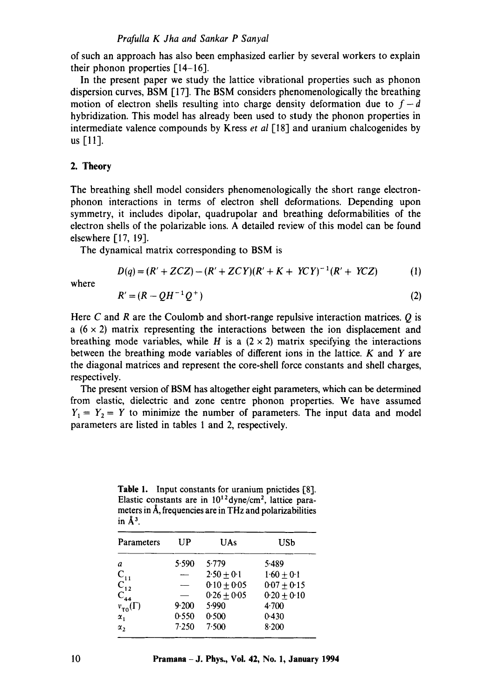of such an approach has also been emphasized earlier by several workers to explain their phonon properties  $[14-16]$ .

In the present paper we study the lattice vibrational properties such as phonon dispersion curves, BSM [17]. The BSM considers phenomenologically the breathing motion of electron shells resulting into charge density deformation due to  $f-d$ hybridization. This model has already been used to study the phonon properties in intermediate valence compounds by Kress *et al* [18] and uranium chalcogenides by us [11].

### 2. **Theory**

The breathing shell model considers phenomenologically the short range electronphonon interactions in terms of electron shell deformations. Depending upon symmetry, it includes dipolar, quadrupolar and breathing deformabilities of the electron shells of the polarizable ions. A detailed review of this model can be found elsewhere [17, 19].

The dynamical matrix corresponding to BSM is

$$
D(q) = (R' + ZCZ) - (R' + ZCY)(R' + K + YCY)^{-1}(R' + YCZ)
$$
 (1)

where

$$
R' = (R - QH^{-1}Q^{+})
$$
\n<sup>(2)</sup>

Here C and R are the Coulomb and short-range repulsive interaction matrices. O is a  $(6 \times 2)$  matrix representing the interactions between the ion displacement and breathing mode variables, while H is a  $(2 \times 2)$  matrix specifying the interactions between the breathing mode variables of different ions in the lattice.  $K$  and  $Y$  are the diagonal matrices and represent the core-shell force constants and shell charges, respectively.

The present version of BSM has altogether eight parameters, which can be determined from elastic, dielectric and zone centre phonon properties. We have assumed  $Y_1 = Y_2 = Y$  to minimize the number of parameters. The input data and model parameters are listed in tables 1 and 2, respectively.

**Table** 1. Input constants for uranium pnictides [8]. Elastic constants are in  $10^{12}$  dyne/cm<sup>2</sup>, lattice parameters in Å, frequencies are in THz and polarizabilities in  $\AA^3$ .

| Parameters           | UP    | <b>UAs</b>    | USb             |
|----------------------|-------|---------------|-----------------|
| a                    | 5.590 | 5.779         | 5.489           |
| $C_{11}$             |       | $2.50 + 0.1$  | $1.60 \pm 0.1$  |
| $C_{12}$             |       | $0.10 + 0.05$ | $0.07 + 0.15$   |
| $C_{44}$             |       | $0.26 + 0.05$ | $0.20 \pm 0.10$ |
| $v_{\tau 0}(\Gamma)$ | 9.200 | 5.990         | 4.700           |
| $\alpha_1$           | 0.550 | 0.500         | 0.430           |
| $\alpha_{2}$         | 7.250 | 7.500         | 8.200           |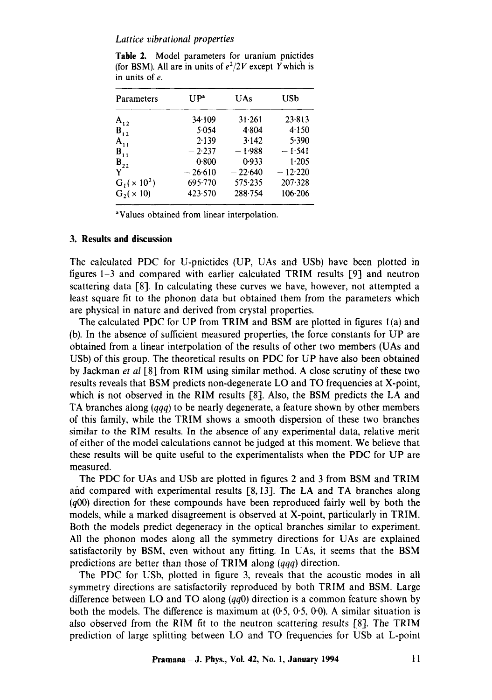### *Lattice vibrational properties*

| Parameters       | I J P <sup>a</sup> | UAs       | USb       |  |
|------------------|--------------------|-----------|-----------|--|
| $A_{12}$         | 34.109             | 31.261    | 23.813    |  |
| $B_{12}$         | 5.054              | 4.804     | 4.150     |  |
| $A_{11}$         | 2.139              | 3.142     | 5.390     |  |
| $B_{11}$         | $-2.237$           | $-1.988$  | $-1.541$  |  |
| $B_{22}$         | 0.800              | 0.933     | 1.205     |  |
| Y                | $-26.610$          | $-22.640$ | $-12.220$ |  |
| $G_1(x 10^2)$    | 695.770            | 575.235   | 207.328   |  |
| $G_2(\times 10)$ | 423.570            | 288.754   | 106.206   |  |

Table 2. Model parameters for uranium pnictides (for BSM). All are in units of  $e^2/2V$  except Y which is in units of e.

aValues obtained from linear interpolation.

### **3. Results and discussion**

The calculated PDC for U-pnictides (UP, UAs and USb) have been plotted in figures 1-3 and compared with earlier calculated TRIM results [9] and neutron scattering data [8]. In calculating these curves we have, however, not attempted a least square fit to the phonon data but obtained them from the parameters which are physical in nature and derived from crystal properties.

The calculated PDC for UP from TRIM and BSM are plotted in figures l (a) and (b). In the absence of sufficient measured properties, the force constants for UP are obtained from a linear interpolation of the results of other two members (UAs and USb) of this group. The theoretical results on PDC for UP have also been obtained by Jackman *et al* [8] from RIM using similar method. A close scrutiny of these two results reveals that BSM predicts non-degenerate LO and TO frequencies at X-point, which is not observed in the RIM results [8]. Also, the BSM predicts the LA and TA branches along *(qqq)* to be nearly degenerate, a feature shown by other members of this family, while the TRIM shows a smooth dispersion of these two branches similar to the RIM results. In the absence of any experimental data, relative merit of either of the model calculations cannot be judged at this moment. We believe that these results will be quite useful to the experimentalists when the PDC for UP are measured.

The PDC for UAs and USb are plotted in figures 2 and 3 from BSM and TRIM arid compared with experimental results [8, 13]. The LA and TA branches along (q00) direction for these compounds have been reproduced fairly well by both the models, while a marked disagreement is observed at X-point, particularly in TRIM. Both the models predict degeneracy in the optical branches similar to experiment. All the phonon modes along all the symmetry directions for UAs are explained satisfactorily by BSM, even without any fitting. In UAs, it seems that the BSM predictions are better than those of TRIM along *(qqq)* direction.

The PDC for USb, plotted in figure 3, reveals that the acoustic modes in all symmetry directions are satisfactorily reproduced by both TRIM and BSM. Large difference between LO and TO along *(qqO)* direction is a common feature shown by both the models. The difference is maximum at  $(0.5, 0.5, 0.0)$ . A similar situation is also observed from the RIM fit to the neutron scattering results [8]. The TRIM prediction of large splitting between LO and TO frequencies for USb at L-point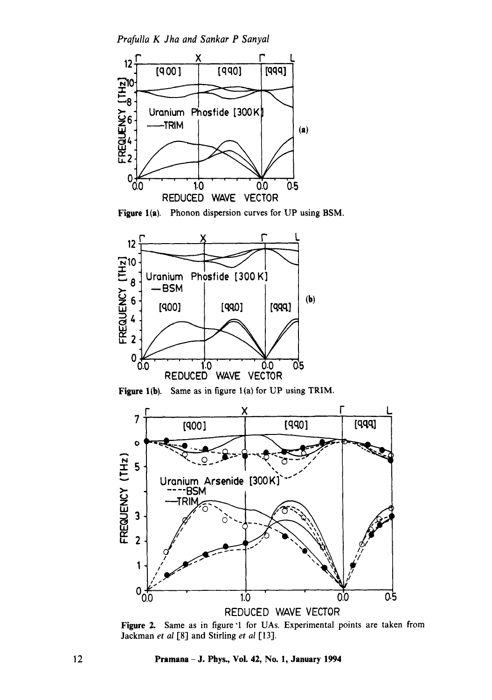*Prafulla K Jha and Sankar P Sanyal* 





Figure l(b). Same as in figure l(a) for UP using TRIM.



Figure 2. Same as in figure '1 for UAs. Experimental points are taken from Jackman *et al* [8] and Stirling *et al* [13].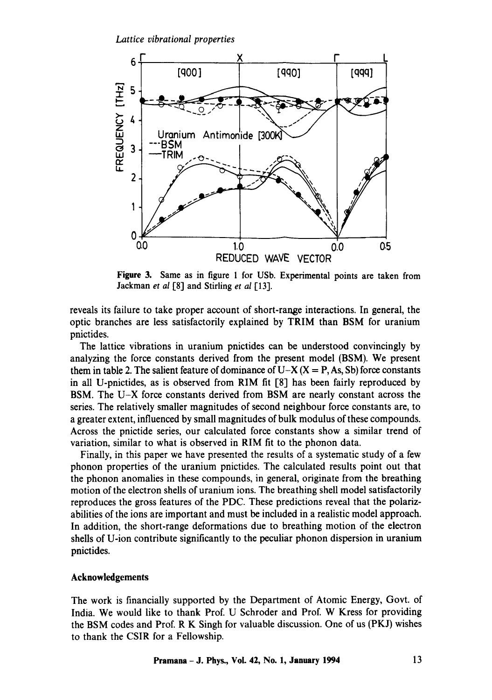

Figure 3. Same as in figure 1 for USb. Experimental points are taken from Jackman *et al* [8] and Stirling *et al* [13].

reveals its failure to take proper account of short-range interactions. In general, the optic branches are less satisfactorily explained by TRIM than BSM for uranium pnictides.

The lattice vibrations in uranium pnictides can be understood convincingly by analyzing the force constants derived from the present model (BSM). We present them in table 2. The salient feature of dominance of U-X  $(X = P, As, Sb)$  force constants in all U-pnictides, as is observed from RIM fit [8] has been fairly reproduced by BSM. The U-X force constants derived from BSM are nearly constant across the series. The relatively smaller magnitudes of second neighbour force constants are, to a greater extent, influenced by small magnitudes of bulk modulus of these compounds. Across the pnictide series, our calculated force constants show a similar trend of variation, similar to what is observed in RIM fit to the phonon data.

Finally, in this paper we have presented the results of a systematic study of a few phonon properties of the uranium pnictides. The calculated results point out that the phonon anomalies in these compounds, in general, originate from the breathing motion of the electron shells of uranium ions. The breathing shell model satisfactorily reproduces the gross features of the PDC. These predictions reveal that the polarizabilities of the ions are important and must be included in a realistic model approach. In addition, the short-range deformations due to breathing motion of the electron shells of U-ion contribute significantly to the peculiar phonon dispersion in uranium pnictides.

#### **Acknowledgements**

The work is financially supported by the Department of Atomic Energy, Govt. of India. We would like to thank Prof. U Schroder and Prof. W Kress for providing the BSM codes and Prof. R K Singh for valuable discussion. One of us (PKJ) wishes to thank the CSIR for a Fellowship.